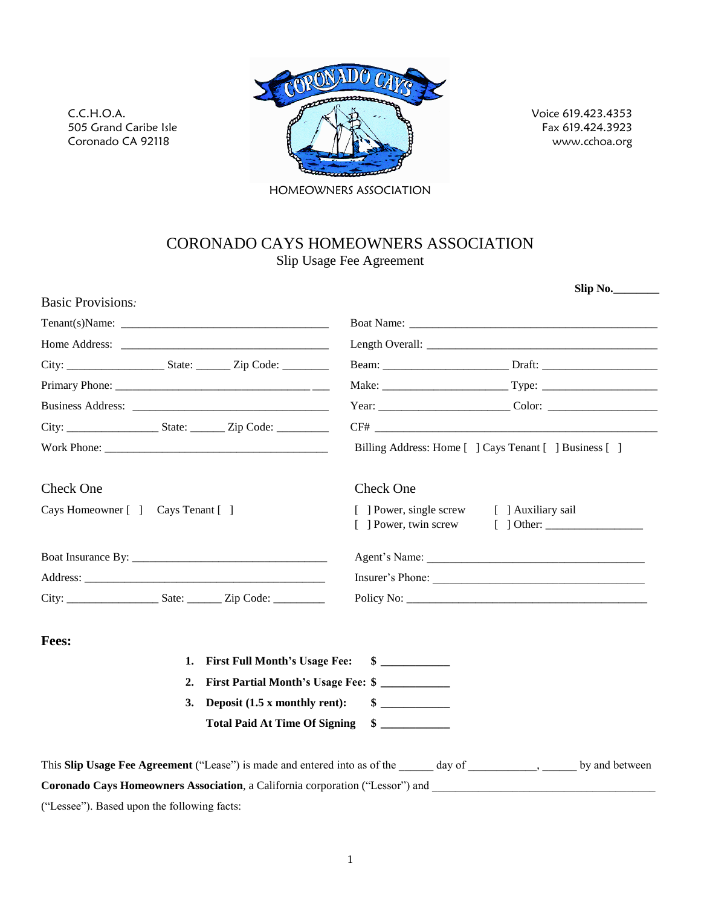

C.C.H.O.A.

505 Grand Caribe Isle Coronado CA 92118

Voice 619.423.4353 Fax 619.424.3923 www.cchoa.org

HOMEOWNERS ASSOCIATION

# CORONADO CAYS HOMEOWNERS ASSOCIATION Slip Usage Fee Agreement

| Billing Address: Home [] Cays Tenant [] Business []<br>Check One<br>[ ] Power, single screw [ ] Auxiliary sail |
|----------------------------------------------------------------------------------------------------------------|
|                                                                                                                |
|                                                                                                                |
|                                                                                                                |
|                                                                                                                |
|                                                                                                                |
|                                                                                                                |
|                                                                                                                |
|                                                                                                                |
|                                                                                                                |
|                                                                                                                |
|                                                                                                                |
| Insurer's Phone:                                                                                               |
|                                                                                                                |
|                                                                                                                |
| $\sim$                                                                                                         |
| First Partial Month's Usage Fee: \$                                                                            |
| $\sim$                                                                                                         |
| $\sim$                                                                                                         |
|                                                                                                                |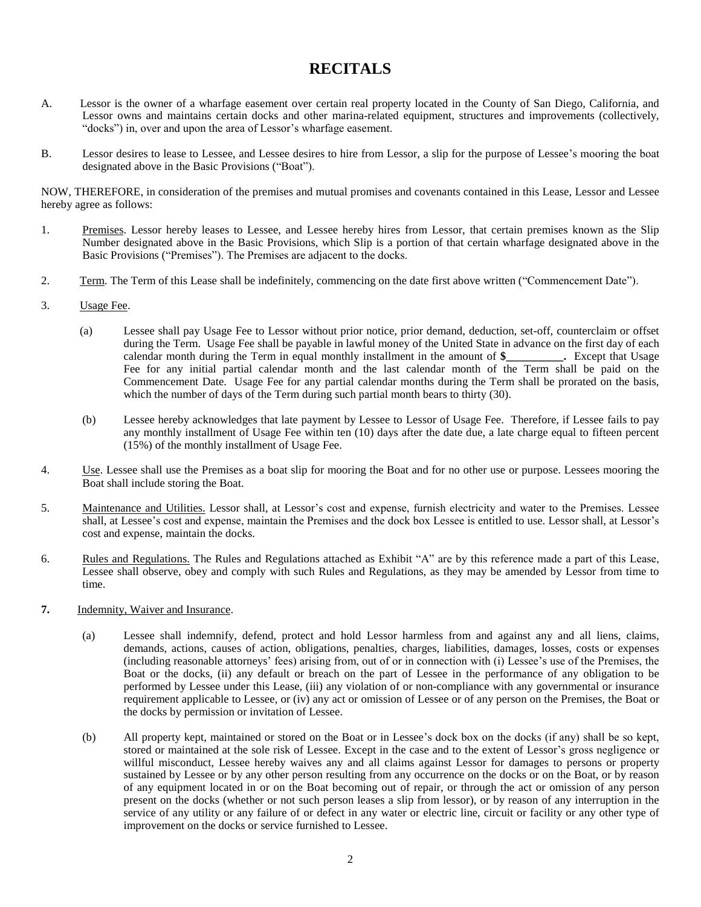# **RECITALS**

- A. Lessor is the owner of a wharfage easement over certain real property located in the County of San Diego, California, and Lessor owns and maintains certain docks and other marina-related equipment, structures and improv "docks") in, over and upon the area of Lessor's wharfage easement.<br>B. Lessor desires to lease to Lessee, and Lessee desires to hire from Lessor, a slip for the purpose of Lessee's mooring the boat
- Lessor desires to lease to Lessee, and Lessee desires to<br>designated above in the Basic Provisions ("Boat").

NOW, THEREFORE, in consideration of the premises and mutual promises and covenants contained in this Lease, Lessor and Lessee hereby agree as follows:

- 1. Premises. Lessor hereby leases to Lessee, and Lessee hereby hires from Lessor, that certain premises known as the Slip Number designated above in the Basic Provisions, which Slip is a portion of that certain wharfage designated above in the Premises. Lessor hereby leases to Lessee, and Lessee hereby hires from Number designated above in the Basic Provisions, which Slip is a portion Basic Provisions ("Premises"). The Premises are adjacent to the docks. 2. Term. The Term of this Lease shall be indefinitely, commencing on the date first above written ("Commencement Date").
- 
- 3. Usage Fee.
	- (a) Lessee shall pay Usage Fee to Lessor without prior notice, prior demand, deduction, set-off, counterclaim or offset during the Term. Usage Fee shall be payable in lawful money of the United State in advance on the first day of each calendar month during the Term in equal monthly installment in the amount of  $\frac{1}{2}$ . Except that Usage calendar month during the Term in equal monthly installment in the amount of \$ Fee for any initial partial calendar month and the last calendar month of the Term shall be paid on the Commencement Date. Usage Fee for any partial calendar months during the Term shall be prorated on the basis, which the number of days of the Term during such partial month bears to thirty (30).
	- (b) Lessee hereby acknowledges that late payment by Lessee to Lessor of Usage Fee. Therefore, if Lessee fails to pay any monthly installment of Usage Fee within ten (10) days after the date due, a late charge equal to fifteen percent (15%) of the monthly installment of Usage Fee.
- 4. Use. Lessee shall use the Premises as a boat slip for mooring the Boat and for no other use or purpose. Lessees mooring the Boat shall include storing the Boat.
- 5. Maintenance and Utilities. Lessor shall, at Lessor's cost and expense, furnish electricity and water to the Premises. Lessee shall, at Lessee's cost and expense, maintain the Premises and the dock box Lessee is entitled to use. Lessor shall, at Lessor's cost and expense, maintain the docks.
- 6. Rules and Regulations. The Rules and Regulations attached as Exhibit "A" are by this reference made a part of this Lease, Lessee shall observe, obey and comply with such Rules and Regulations, as they may be amended by Lessor from time to time.
- **7.** Indemnity, Waiver and Insurance.
	- (a) Lessee shall indemnify, defend, protect and hold Lessor harmless from and against any and all liens, claims, demands, actions, causes of action, obligations, penalties, charges, liabilities, damages, losses, costs or expenses (including reasonable attorneys' fees) arising from, out of or in connection with (i) Lessee's use of the Premises, the Boat or the docks, (ii) any default or breach on the part of Lessee in the performance of any obligation to be performed by Lessee under this Lease, (iii) any violation of or non-compliance with any governmental or insurance requirement applicable to Lessee, or (iv) any act or omission of Lessee or of any person on the Premises, the Boat or the docks by permission or invitation of Lessee.
	- (b) All property kept, maintained or stored on the Boat or in Lessee's dock box on the docks (if any) shall be so kept, stored or maintained at the sole risk of Lessee. Except in the case and to the extent of Lessor's gross negligence or willful misconduct, Lessee hereby waives any and all claims against Lessor for damages to persons or property sustained by Lessee or by any other person resulting from any occurrence on the docks or on the Boat, or by reason of any equipment located in oron the Boat becoming out of repair, or through the act or omission of any person present on the docks (whether or not such person leases a slip from lessor), or by reason of any interruption in the service of any utility or any failure of or defect in any water or electric line, circuit or facility or any other type of improvement on the docks or service furnished to Lessee.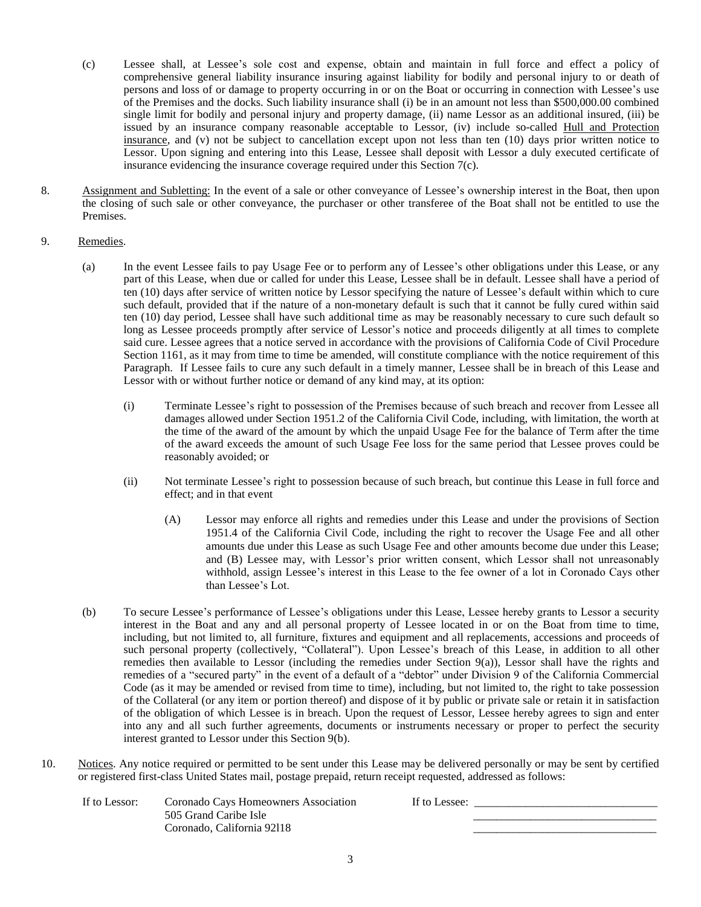- (c) Lessee shall, at Lesseeís sole cost and expense, obtain and maintain in full force and effect <sup>a</sup> policy of comprehensive general liability insurance insuring against liability for bodily and personal injury to ordeath of persons and loss of or damage to property occurring in or on the Boat or occurring in connection with Lessee's use of the Premises and the docks. Such liability insurance shall (i) be in an amount not less than \$500,000.00 combined single limit for bodily and personal injury and property damage, (ii) name Lessor as an additional insured, (iii) be issued by an insurance company reasonable acceptable to Lessor, (iv) include so-called Hull and Protection insurance, and (v) not be subject to cancellation except upon not less than ten (10) days prior written notice to Lessor. Upon signing and entering into this Lease, Lessee shall deposit with Lessor a duly executed certificate of insurance evidencing the insurance coverage required under this Section 7(c).
- 8. Assignment and Subletting: In the event of a sale or other conveyance of Lessee's ownership interest in the Boat, then upon the closing ofsuch sale or other conveyance, the purchaser or other transferee of the Boat shall not be entitled to use the Premises.

## 9. Remedies.

- (a) In the event Lessee fails to pay Usage Fee or to perform any of Lessee's other obligations under this Lease, or any part of this Lease, when due or called for under this Lease, Lessee shall be in default. Lessee shall have a period of In the event Lessee fails to pay Usage Fee or to perform any of Lessee's other obligations under this Lease, or any<br>part of this Lease, when due or called for under this Lease, Lessee shall be in default. Lessee shall have such default, provided that if the nature of a non-monetary default is such that it cannot be fully cured within said<br>ten (10) day period, Lessee shall have such additional time as may be reasonably necessary to cure such ten (10) day period, Lessee shall have such additional time as may be reasonably necessary to cure such default so<br>long as Lessee proceeds promptly after service of Lessor's notice and proceeds diligently at all times to c said cure. Lessee agrees that a notice served in accordance with the provisions of California Code of Civil Procedure Section 1161, as it may from time to time be amended, will constitute compliance with the notice requirement of this Paragraph. If Lessee fails to cure any such default in a timely manner, Lessee shall be in breach of this Lease and Lessor with or without further notice or demand of any kind may, at its option:
	- (i) Terminate Lessee's right to possession of the Premises because of such breach and recover from Lessee all damages allowed under Section 1951.2 of the California Civil Code, including, with limitation, the worth at the time of the award of the amount by which the unpaid Usage Fee for the balance of Term after the time of the award exceeds the amount of such Usage Fee loss for the same period that Lessee proves could be reasonably avoided; or
	- (ii) Not terminate Lessee's right to possession because of such breach, but continue this Lease in full force and effect; and in that event
- (A) Lessor may enforce all rights and remedies under this Lease and under the provisions of Section 1951.4 of the California Civil Code, including the right to recover the Usage Fee and all other amounts due under this Lease as such Usage Fee and other amounts become due under this Lease; 1951.4 of the California Civil Code, including the right to recover the Usage Fee and all other amounts due under this Lease as such Usage Fee and other amounts become due under this Lease; and (B) Lessee may, with Lessor' amounts due under this Lease as such Usage Fee and other amounts become due under this Lease;<br>and (B) Lessee may, with Lessor's prior written consent, which Lessor shall not unreasonably<br>withhold, assign Lessee's interest and (B) Lessee may,<br>withhold, assign Lesse<br>than Lessee's Lot. (b) than Lessee's Lot.<br>
(b) To secure Lessee's performance of Lessee's obligations under this Lease, Lessee hereby grants to Lessor a security
- interest in the Boat and any and all personal property of Lessee located in oron the Boat from time to time, including, but not limited to, all furniture, fixtures and equipment and all replacements, accessions and proceeds of interest in the Boat and any and all personal property of Lessee located in or on the Boat from time to time,<br>including, but not limited to, all furniture, fixtures and equipment and all replacements, accessions and procee remedies then available to Lessor (including the remedies under Section 9(a)), Lessor shall have the rights and such personal property (collectively, "Collateral"). Upon Lessee's breach of this Lease, in addition to all other remedies then available to Lessor (including the remedies under Section 9(a)), Lessor shall have the rights Code (as itmay be amended or revised from time to time), including, but not limited to, the right to take possession of the Collateral (or any item or portion thereof) and dispose of it by public or private sale or retain it in satisfaction of the obligation of which Lessee is in breach. Upon the request of Lessor, Lessee hereby agrees to sign and enter into any and all such further agreements, documents or instruments necessary or proper to perfect the security interest granted to Lessor under this Section 9(b).
- 10. Notices. Any notice required or permitted to be sent under this Lease may be delivered personally or may be sent by certified or registered first-class United States mail, postage prepaid, return receipt requested, addressed as follows:

If to Lessor: Coronado Cays Homeowners Association If to Lessee: \_\_\_\_\_\_\_\_\_\_\_\_\_\_\_\_\_\_\_\_\_\_\_\_\_\_\_\_\_\_\_\_ 505 Grand Caribe Isle Coronado, California 92118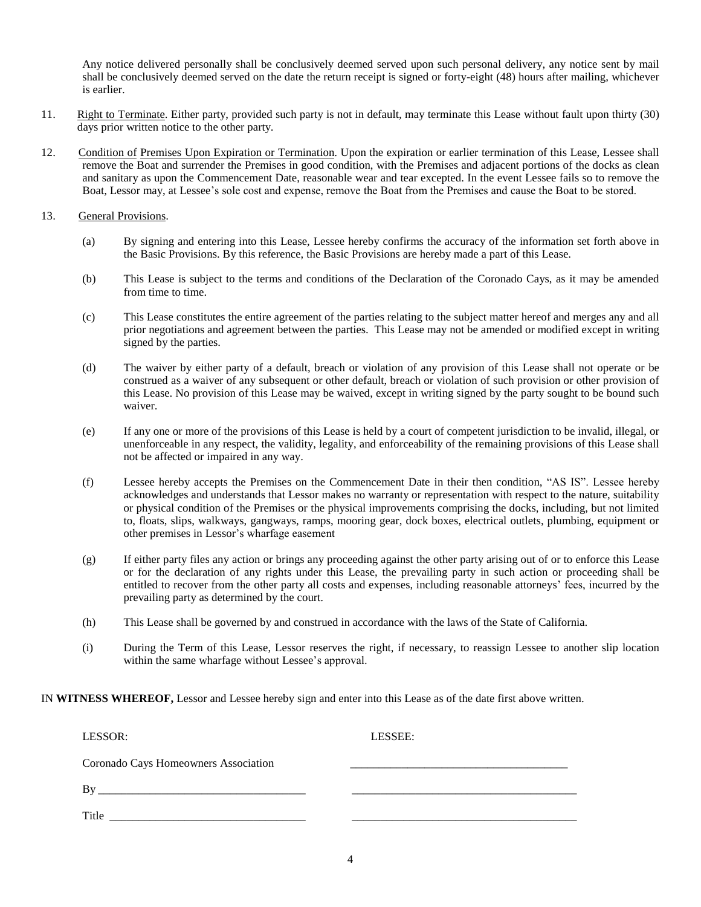Any notice delivered personally shall be conclusively deemed served upon such personal delivery, any notice sent by mail shall be conclusively deemed served on the date the return receipt is signed or forty-eight (48) hours after mailing, whichever is earlier.

- 11. Right to Terminate. Either party, provided such party is not in default, may terminate this Lease without fault upon thirty (30) days prior written notice to the other party.
- 12. Condition of Premises Upon Expiration or Termination. Upon the expiration or earlier termination of this Lease, Lessee shall remove the Boat and surrender the Premises in good condition, with the Premises and adjacent portions of the docks as clean<br>and sanitary as upon the Commencement Date, reasonable wear and tear excepted. In the event Lessee and sanitary as upon the Commencement Date, reasonable wear and tear excepted. In the event Lessee fails so to remove the

## 13. General Provisions.

- (a) By signing and entering into this Lease, Lessee hereby confirms the accuracy of the information set forth above in the Basic Provisions. By this reference, the Basic Provisions are hereby made a part of this Lease.
- (b) This Lease is subject to the terms and conditions of the Declaration ofthe Coronado Cays, as it may be amended from time to time.
- (c) This Lease constitutes the entire agreement of the parties relating to the subject matter hereof and merges any and all prior negotiations and agreement between the parties. This Lease may not be amended or modified except in writing signed by the parties.
- (d) The waiver by either party of a default, breach or violation of any provision of this Lease shall not operate or be construed as a waiver of any subsequent or other default, breach or violation of such provision or other provision of this Lease. No provision of this Lease may be waived, except in writing signed by the party sought to be bound such waiver.
- (e) If any one or more of the provisions of this Lease is held by a court of competent jurisdiction to be invalid, illegal, or unenforceable in any respect, the validity, legality, and enforceability of the remaining provisions of this Lease shall not be affected or impaired in any way.
- (f) Lessee hereby accepts the Premises on the Commencement Date in their then condition, "AS IS". Lessee hereby acknowledges and understands that Lessor makes no warranty or representation with respect to the nature, suitability or physical condition of the Premises or the physical improvements comprising the docks, including, but not limited to, floats, slips, walkways, gangways, ramps, mooring gear, dock boxes, electrical outlets, plumbing, equipment or or physical condition of the Premises or the physic<br>to, floats, slips, walkways, gangways, ramps, moo<br>other premises in Lessor's wharfage easement
- (g) If either party files any action or brings any proceeding against the other party arising out of or to enforce this Lease or for the declaration of any rights under this Lease, the prevailing party in such action orproceeding shall be entitled to recover from the other party all costs and expenses, including reasonable attorneys<sup>í</sup> fees, incurred by the prevailing party as determined by the court.
- (h) This Lease shall be governed by and construed in accordance with the laws of the State of California.
- (i) During the Term of this Lease, Lessor reserves the right, if necessary, to reassign Lessee to another slip location During the Term of this Lease, Lessor reserves the righ<br>within the same wharfage without Lessee's approval.

IN **WITNESS WHEREOF,** Lessor and Lessee hereby sign and enter into this Lease as of the date first above written.

| LESSOR:                              | LESSEE: |
|--------------------------------------|---------|
| Coronado Cays Homeowners Association |         |
| By                                   |         |
| Title                                |         |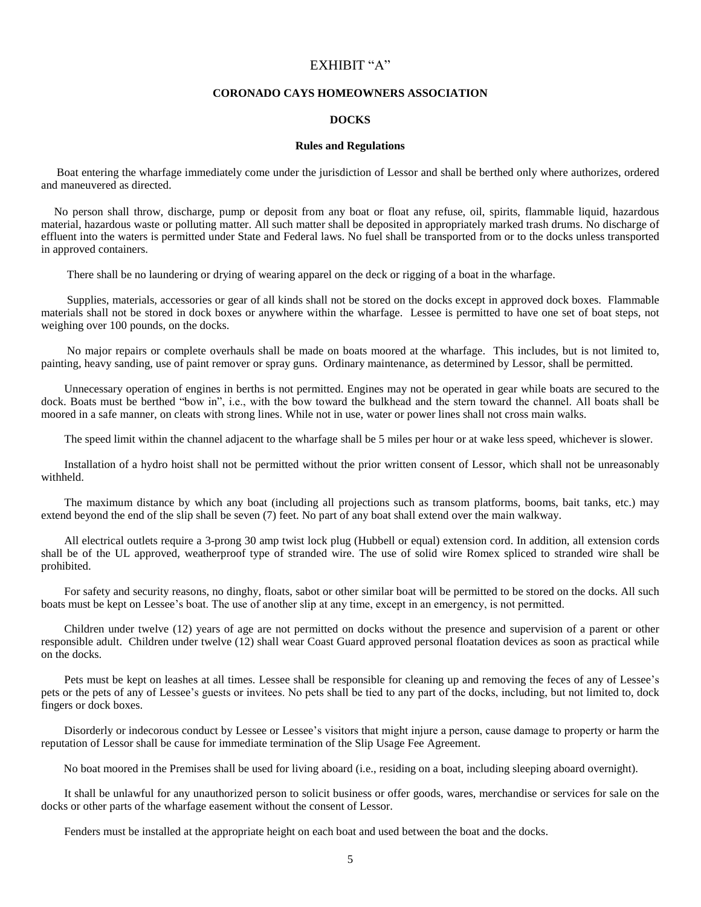## EXHIBIT "A"

#### **CORONADO CAYS HOMEOWNERS ASSOCIATION**

### **DOCKS**

### **Rules and Regulations**

Boat entering the wharfage immediately come under the jurisdiction of Lessor and shall be berthed only where authorizes, ordered and maneuvered as directed.

No person shall throw, discharge, pump or deposit from any boat or float any refuse, oil, spirits, flammable liquid, hazardous material, hazardous waste or polluting matter. All such matter shall be deposited in appropriately marked trash drums. No discharge of effluent into the waters is permitted under State and Federal laws. No fuel shall be transported from or to the docks unless transported in approved containers.

There shall be no laundering or drying of wearing apparel on the deck or rigging of a boat in the wharfage.

Supplies, materials, accessories or gear of all kinds shall not be stored on the docks except in approved dock boxes. Flammable materials shall not be stored in dock boxes or anywhere within the wharfage. Lessee is permitted to have one set of boat steps, not weighing over 100 pounds, on the docks.

No major repairs or complete overhauls shall be made on boats moored at the wharfage. This includes, but is not limited to, painting, heavy sanding, use of paint remover or spray guns. Ordinary maintenance, as determined by Lessor, shall be permitted.

Unnecessary operation of engines in berths is not permitted. Engines may not be operated in gear while boats are secured to the Unnecessary operation of engines in berths is not permitted. Engines may not be operated in gear while boats are secured to the dock. Boats must be berthed "bow in", i.e., with the bow toward the bulkhead and the stern tow moored in a safe manner, on cleats with strong lines. While not in use, water or power lines shall not cross main walks.

The speed limit within the channel adjacent to the wharfage shall be 5 miles per hour or at wake less speed, whichever is slower.

Installation of a hydro hoist shall not be permitted without the prior written consent of Lessor, which shall not be unreasonably withheld.

The maximum distance by which any boat (including all projections such as transom platforms, booms, bait tanks, etc.) may extend beyond the end of the slip shall be seven (7) feet. No part of any boat shall extend over the main walkway.

All electrical outlets require a 3-prong 30 amp twist lock plug (Hubbell or equal) extension cord. In addition, all extension cords shall be of the UL approved, weatherproof type of stranded wire. The use of solid wire Romex spliced to stranded wire shall be prohibited.

For safety and security reasons, no dinghy, floats, sabot or other similar boat will be permitted to be stored on the docks. All such For safety and security reasons, no dinghy, floats, sabot or other similar boat will be permitted to be stored on the boats must be kept on Lessee's boat. The use of another slip at any time, except in an emergency, is not

Children under twelve  $(12)$  years of age are not permitted on docks without the presence and supervision of a parent or other responsible adult. Children under twelve (12) shall wear Coast Guard approved personal floatation devices as soon as practical while on the docks.

Pets must be kept on leashes at all times. Lessee shall be responsible for cleaning up and removing the feces of any of Lessee's pets or the pets of any of Lessee's guests or invitees. No pets shall be tied to any part of the docks, including, but not limited to, dock fingers or dock boxes.

Disorderly or indecorous conduct by Lessee or Lessee's visitors that might injure a person, cause damage to property or harm the reputation of Lessor shall be cause for immediate termination of the Slip Usage Fee Agreement.

No boat moored in the Premises shall be used for living aboard (i.e., residing on a boat, including sleeping aboard overnight).

It shall be unlawful for any unauthorized person to solicit business or offer goods, wares, merchandise or services for sale on the docks or other parts of the wharfage easement without the consent of Lessor.

Fenders must be installed at the appropriate height on each boat and used between the boat and the docks.